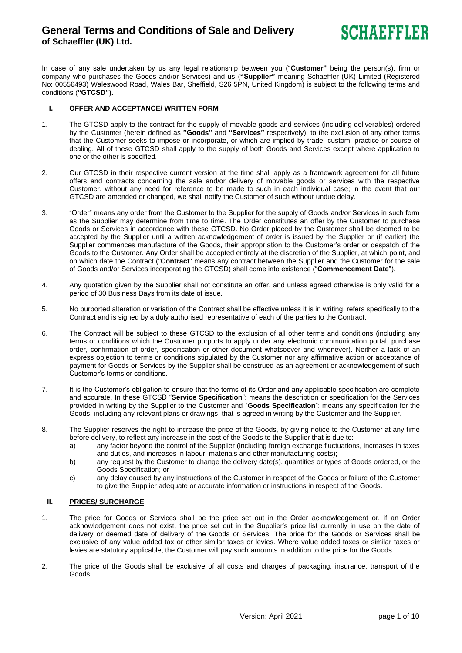

In case of any sale undertaken by us any legal relationship between you ("**Customer"** being the person(s), firm or company who purchases the Goods and/or Services) and us (**"Supplier"** meaning Schaeffler (UK) Limited (Registered No: 00556493) Waleswood Road, Wales Bar, Sheffield, S26 5PN, United Kingdom) is subject to the following terms and conditions (**"GTCSD").**

### **I. OFFER AND ACCEPTANCE/ WRITTEN FORM**

- 1. The GTCSD apply to the contract for the supply of movable goods and services (including deliverables) ordered by the Customer (herein defined as **"Goods"** and **"Services"** respectively), to the exclusion of any other terms that the Customer seeks to impose or incorporate, or which are implied by trade, custom, practice or course of dealing. All of these GTCSD shall apply to the supply of both Goods and Services except where application to one or the other is specified.
- 2. Our GTCSD in their respective current version at the time shall apply as a framework agreement for all future offers and contracts concerning the sale and/or delivery of movable goods or services with the respective Customer, without any need for reference to be made to such in each individual case; in the event that our GTCSD are amended or changed, we shall notify the Customer of such without undue delay.
- 3. "Order" means any order from the Customer to the Supplier for the supply of Goods and/or Services in such form as the Supplier may determine from time to time. The Order constitutes an offer by the Customer to purchase Goods or Services in accordance with these GTCSD. No Order placed by the Customer shall be deemed to be accepted by the Supplier until a written acknowledgement of order is issued by the Supplier or (if earlier) the Supplier commences manufacture of the Goods, their appropriation to the Customer's order or despatch of the Goods to the Customer. Any Order shall be accepted entirely at the discretion of the Supplier, at which point, and on which date the Contract ("**Contract**" means any contract between the Supplier and the Customer for the sale of Goods and/or Services incorporating the GTCSD) shall come into existence ("**Commencement Date**").
- 4. Any quotation given by the Supplier shall not constitute an offer, and unless agreed otherwise is only valid for a period of 30 Business Days from its date of issue.
- 5. No purported alteration or variation of the Contract shall be effective unless it is in writing, refers specifically to the Contract and is signed by a duly authorised representative of each of the parties to the Contract.
- 6. The Contract will be subject to these GTCSD to the exclusion of all other terms and conditions (including any terms or conditions which the Customer purports to apply under any electronic communication portal, purchase order, confirmation of order, specification or other document whatsoever and whenever). Neither a lack of an express objection to terms or conditions stipulated by the Customer nor any affirmative action or acceptance of payment for Goods or Services by the Supplier shall be construed as an agreement or acknowledgement of such Customer's terms or conditions.
- 7. It is the Customer's obligation to ensure that the terms of its Order and any applicable specification are complete and accurate. In these GTCSD "**Service Specification**": means the description or specification for the Services provided in writing by the Supplier to the Customer and "**Goods Specification**": means any specification for the Goods, including any relevant plans or drawings, that is agreed in writing by the Customer and the Supplier.
- 8. The Supplier reserves the right to increase the price of the Goods, by giving notice to the Customer at any time before delivery, to reflect any increase in the cost of the Goods to the Supplier that is due to:
	- a) any factor beyond the control of the Supplier (including foreign exchange fluctuations, increases in taxes and duties, and increases in labour, materials and other manufacturing costs);
	- b) any request by the Customer to change the delivery date(s), quantities or types of Goods ordered, or the Goods Specification; or
	- c) any delay caused by any instructions of the Customer in respect of the Goods or failure of the Customer to give the Supplier adequate or accurate information or instructions in respect of the Goods.

### **II. PRICES/ SURCHARGE**

- 1. The price for Goods or Services shall be the price set out in the Order acknowledgement or, if an Order acknowledgement does not exist, the price set out in the Supplier's price list currently in use on the date of delivery or deemed date of delivery of the Goods or Services. The price for the Goods or Services shall be exclusive of any value added tax or other similar taxes or levies. Where value added taxes or similar taxes or levies are statutory applicable, the Customer will pay such amounts in addition to the price for the Goods.
- 2. The price of the Goods shall be exclusive of all costs and charges of packaging, insurance, transport of the Goods.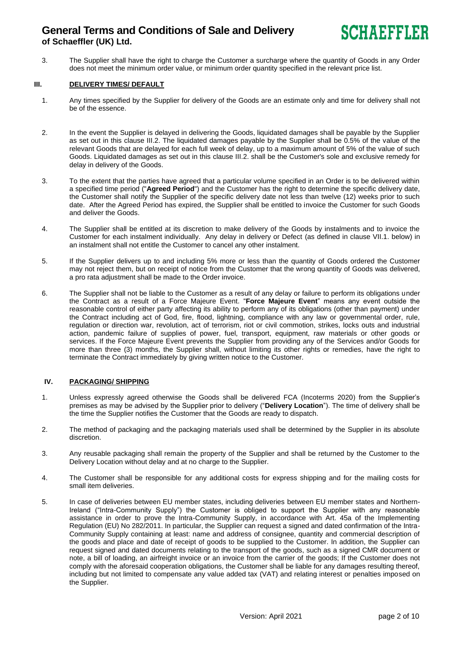3. The Supplier shall have the right to charge the Customer a surcharge where the quantity of Goods in any Order does not meet the minimum order value, or minimum order quantity specified in the relevant price list.

### **III. DELIVERY TIMES/ DEFAULT**

- 1. Any times specified by the Supplier for delivery of the Goods are an estimate only and time for delivery shall not be of the essence.
- 2. In the event the Supplier is delayed in delivering the Goods, liquidated damages shall be payable by the Supplier as set out in this clause III.2. The liquidated damages payable by the Supplier shall be 0.5% of the value of the relevant Goods that are delayed for each full week of delay, up to a maximum amount of 5% of the value of such Goods. Liquidated damages as set out in this clause III.2. shall be the Customer's sole and exclusive remedy for delay in delivery of the Goods.
- 3. To the extent that the parties have agreed that a particular volume specified in an Order is to be delivered within a specified time period ("**Agreed Period**") and the Customer has the right to determine the specific delivery date, the Customer shall notify the Supplier of the specific delivery date not less than twelve (12) weeks prior to such date. After the Agreed Period has expired, the Supplier shall be entitled to invoice the Customer for such Goods and deliver the Goods.
- 4. The Supplier shall be entitled at its discretion to make delivery of the Goods by instalments and to invoice the Customer for each instalment individually. Any delay in delivery or Defect (as defined in clause VII.1. below) in an instalment shall not entitle the Customer to cancel any other instalment.
- 5. If the Supplier delivers up to and including 5% more or less than the quantity of Goods ordered the Customer may not reject them, but on receipt of notice from the Customer that the wrong quantity of Goods was delivered, a pro rata adjustment shall be made to the Order invoice.
- 6. The Supplier shall not be liable to the Customer as a result of any delay or failure to perform its obligations under the Contract as a result of a Force Majeure Event. "**Force Majeure Event**" means any event outside the reasonable control of either party affecting its ability to perform any of its obligations (other than payment) under the Contract including act of God, fire, flood, lightning, compliance with any law or governmental order, rule, regulation or direction war, revolution, act of terrorism, riot or civil commotion, strikes, locks outs and industrial action, pandemic failure of supplies of power, fuel, transport, equipment, raw materials or other goods or services. If the Force Majeure Event prevents the Supplier from providing any of the Services and/or Goods for more than three (3) months, the Supplier shall, without limiting its other rights or remedies, have the right to terminate the Contract immediately by giving written notice to the Customer.

## **IV. PACKAGING/ SHIPPING**

- 1. Unless expressly agreed otherwise the Goods shall be delivered FCA (Incoterms 2020) from the Supplier's premises as may be advised by the Supplier prior to delivery ("**Delivery Location**"). The time of delivery shall be the time the Supplier notifies the Customer that the Goods are ready to dispatch.
- 2. The method of packaging and the packaging materials used shall be determined by the Supplier in its absolute discretion.
- 3. Any reusable packaging shall remain the property of the Supplier and shall be returned by the Customer to the Delivery Location without delay and at no charge to the Supplier.
- 4. The Customer shall be responsible for any additional costs for express shipping and for the mailing costs for small item deliveries.
- 5. In case of deliveries between EU member states, including deliveries between EU member states and Northern-Ireland ("Intra-Community Supply") the Customer is obliged to support the Supplier with any reasonable assistance in order to prove the Intra-Community Supply, in accordance with Art. 45a of the Implementing Regulation (EU) No 282/2011. In particular, the Supplier can request a signed and dated confirmation of the Intra-Community Supply containing at least: name and address of consignee, quantity and commercial description of the goods and place and date of receipt of goods to be supplied to the Customer. In addition, the Supplier can request signed and dated documents relating to the transport of the goods, such as a signed CMR document or note, a bill of loading, an airfreight invoice or an invoice from the carrier of the goods; If the Customer does not comply with the aforesaid cooperation obligations, the Customer shall be liable for any damages resulting thereof, including but not limited to compensate any value added tax (VAT) and relating interest or penalties imposed on the Supplier.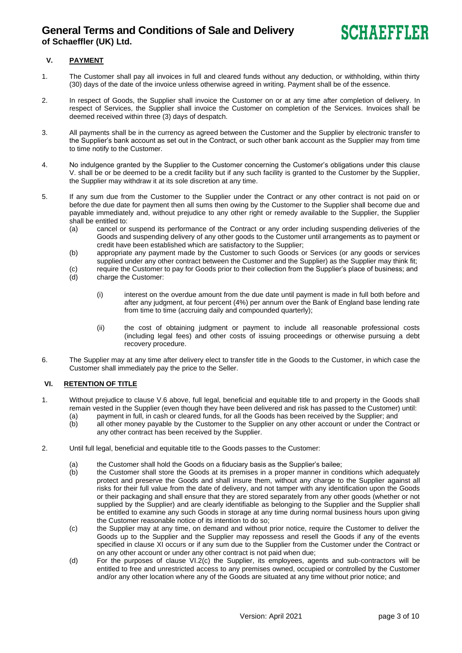# **V. PAYMENT**

- 1. The Customer shall pay all invoices in full and cleared funds without any deduction, or withholding, within thirty (30) days of the date of the invoice unless otherwise agreed in writing. Payment shall be of the essence.
- 2. In respect of Goods, the Supplier shall invoice the Customer on or at any time after completion of delivery. In respect of Services, the Supplier shall invoice the Customer on completion of the Services. Invoices shall be deemed received within three (3) days of despatch.
- 3. All payments shall be in the currency as agreed between the Customer and the Supplier by electronic transfer to the Supplier's bank account as set out in the Contract, or such other bank account as the Supplier may from time to time notify to the Customer.
- 4. No indulgence granted by the Supplier to the Customer concerning the Customer's obligations under this clause V. shall be or be deemed to be a credit facility but if any such facility is granted to the Customer by the Supplier, the Supplier may withdraw it at its sole discretion at any time.
- 5. If any sum due from the Customer to the Supplier under the Contract or any other contract is not paid on or before the due date for payment then all sums then owing by the Customer to the Supplier shall become due and payable immediately and, without prejudice to any other right or remedy available to the Supplier, the Supplier shall be entitled to:
	- (a) cancel or suspend its performance of the Contract or any order including suspending deliveries of the Goods and suspending delivery of any other goods to the Customer until arrangements as to payment or credit have been established which are satisfactory to the Supplier;
	- (b) appropriate any payment made by the Customer to such Goods or Services (or any goods or services supplied under any other contract between the Customer and the Supplier) as the Supplier may think fit;
	- (c) require the Customer to pay for Goods prior to their collection from the Supplier's place of business; and (d) charge the Customer:
	- charge the Customer:
		- (i) interest on the overdue amount from the due date until payment is made in full both before and after any judgment, at four percent (4%) per annum over the Bank of England base lending rate from time to time (accruing daily and compounded quarterly);
		- (ii) the cost of obtaining judgment or payment to include all reasonable professional costs (including legal fees) and other costs of issuing proceedings or otherwise pursuing a debt recovery procedure.
- 6. The Supplier may at any time after delivery elect to transfer title in the Goods to the Customer, in which case the Customer shall immediately pay the price to the Seller.

## **VI. RETENTION OF TITLE**

- 1. Without prejudice to clause V.6 above, full legal, beneficial and equitable title to and property in the Goods shall remain vested in the Supplier (even though they have been delivered and risk has passed to the Customer) until:
	- (a) payment in full, in cash or cleared funds, for all the Goods has been received by the Supplier; and (b) all other money payable by the Customer to the Supplier on any other account or under the Contract or any other contract has been received by the Supplier.
- 2. Until full legal, beneficial and equitable title to the Goods passes to the Customer:
	- (a) the Customer shall hold the Goods on a fiduciary basis as the Supplier's bailee;<br>(b) the Customer shall store the Goods at its premises in a proper manner in con
	- the Customer shall store the Goods at its premises in a proper manner in conditions which adequately protect and preserve the Goods and shall insure them, without any charge to the Supplier against all risks for their full value from the date of delivery, and not tamper with any identification upon the Goods or their packaging and shall ensure that they are stored separately from any other goods (whether or not supplied by the Supplier) and are clearly identifiable as belonging to the Supplier and the Supplier shall be entitled to examine any such Goods in storage at any time during normal business hours upon giving the Customer reasonable notice of its intention to do so;
	- (c) the Supplier may at any time, on demand and without prior notice, require the Customer to deliver the Goods up to the Supplier and the Supplier may repossess and resell the Goods if any of the events specified in clause XI occurs or if any sum due to the Supplier from the Customer under the Contract or on any other account or under any other contract is not paid when due;
	- (d) For the purposes of clause VI.2(c) the Supplier, its employees, agents and sub-contractors will be entitled to free and unrestricted access to any premises owned, occupied or controlled by the Customer and/or any other location where any of the Goods are situated at any time without prior notice; and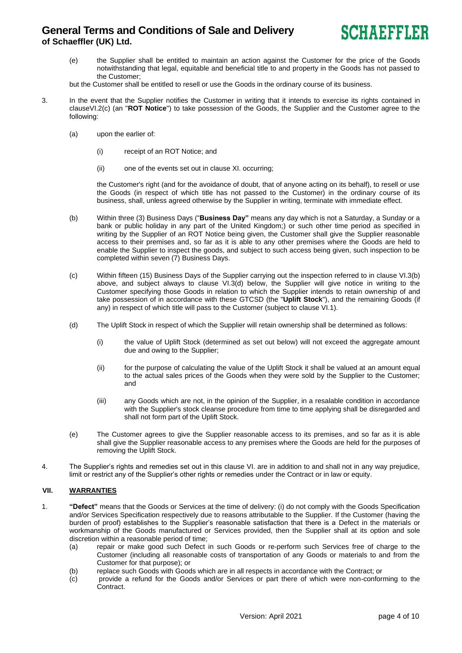

(e) the Supplier shall be entitled to maintain an action against the Customer for the price of the Goods notwithstanding that legal, equitable and beneficial title to and property in the Goods has not passed to the Customer;

but the Customer shall be entitled to resell or use the Goods in the ordinary course of its business.

- 3. In the event that the Supplier notifies the Customer in writing that it intends to exercise its rights contained in clauseVI.2(c) (an "**ROT Notice**") to take possession of the Goods, the Supplier and the Customer agree to the following:
	- (a) upon the earlier of:
		- (i) receipt of an ROT Notice; and
		- (ii) one of the events set out in clause XI. occurring;

the Customer's right (and for the avoidance of doubt, that of anyone acting on its behalf), to resell or use the Goods (in respect of which title has not passed to the Customer) in the ordinary course of its business, shall, unless agreed otherwise by the Supplier in writing, terminate with immediate effect.

- (b) Within three (3) Business Days ("**Business Day"** means any day which is not a Saturday, a Sunday or a bank or public holiday in any part of the United Kingdom;) or such other time period as specified in writing by the Supplier of an ROT Notice being given, the Customer shall give the Supplier reasonable access to their premises and, so far as it is able to any other premises where the Goods are held to enable the Supplier to inspect the goods, and subject to such access being given, such inspection to be completed within seven (7) Business Days.
- (c) Within fifteen (15) Business Days of the Supplier carrying out the inspection referred to in clause VI.3(b) above, and subject always to clause VI.3(d) below, the Supplier will give notice in writing to the Customer specifying those Goods in relation to which the Supplier intends to retain ownership of and take possession of in accordance with these GTCSD (the "**Uplift Stock**"), and the remaining Goods (if any) in respect of which title will pass to the Customer (subject to clause VI.1).
- (d) The Uplift Stock in respect of which the Supplier will retain ownership shall be determined as follows:
	- (i) the value of Uplift Stock (determined as set out below) will not exceed the aggregate amount due and owing to the Supplier;
	- (ii) for the purpose of calculating the value of the Uplift Stock it shall be valued at an amount equal to the actual sales prices of the Goods when they were sold by the Supplier to the Customer; and
	- (iii) any Goods which are not, in the opinion of the Supplier, in a resalable condition in accordance with the Supplier's stock cleanse procedure from time to time applying shall be disregarded and shall not form part of the Uplift Stock.
- (e) The Customer agrees to give the Supplier reasonable access to its premises, and so far as it is able shall give the Supplier reasonable access to any premises where the Goods are held for the purposes of removing the Uplift Stock.
- 4. The Supplier's rights and remedies set out in this clause VI. are in addition to and shall not in any way prejudice, limit or restrict any of the Supplier's other rights or remedies under the Contract or in law or equity.

## **VII. WARRANTIES**

- 1. **"Defect"** means that the Goods or Services at the time of delivery: (i) do not comply with the Goods Specification and/or Services Specification respectively due to reasons attributable to the Supplier. If the Customer (having the burden of proof) establishes to the Supplier's reasonable satisfaction that there is a Defect in the materials or workmanship of the Goods manufactured or Services provided, then the Supplier shall at its option and sole discretion within a reasonable period of time;
	- (a) repair or make good such Defect in such Goods or re-perform such Services free of charge to the Customer (including all reasonable costs of transportation of any Goods or materials to and from the Customer for that purpose); or
	- (b) replace such Goods with Goods which are in all respects in accordance with the Contract; or
	- (c) provide a refund for the Goods and/or Services or part there of which were non-conforming to the Contract.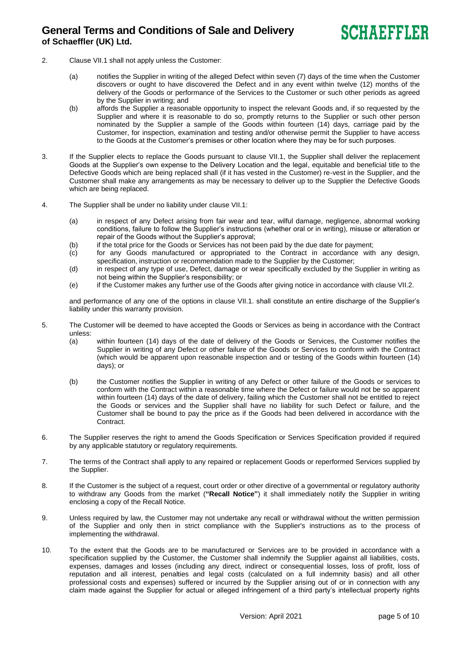- 2. Clause VII.1 shall not apply unless the Customer:
	- (a) notifies the Supplier in writing of the alleged Defect within seven (7) days of the time when the Customer discovers or ought to have discovered the Defect and in any event within twelve (12) months of the delivery of the Goods or performance of the Services to the Customer or such other periods as agreed by the Supplier in writing; and
	- (b) affords the Supplier a reasonable opportunity to inspect the relevant Goods and, if so requested by the Supplier and where it is reasonable to do so, promptly returns to the Supplier or such other person nominated by the Supplier a sample of the Goods within fourteen (14) days, carriage paid by the Customer, for inspection, examination and testing and/or otherwise permit the Supplier to have access to the Goods at the Customer's premises or other location where they may be for such purposes.
- 3. If the Supplier elects to replace the Goods pursuant to clause VII.1, the Supplier shall deliver the replacement Goods at the Supplier's own expense to the Delivery Location and the legal, equitable and beneficial title to the Defective Goods which are being replaced shall (if it has vested in the Customer) re-vest in the Supplier, and the Customer shall make any arrangements as may be necessary to deliver up to the Supplier the Defective Goods which are being replaced.
- 4. The Supplier shall be under no liability under clause VII.1:
	- (a) in respect of any Defect arising from fair wear and tear, wilful damage, negligence, abnormal working conditions, failure to follow the Supplier's instructions (whether oral or in writing), misuse or alteration or repair of the Goods without the Supplier's approval;
	- (b) if the total price for the Goods or Services has not been paid by the due date for payment;<br>(c) for any Goods manufactured or appropriated to the Contract in accordance with
	- for any Goods manufactured or appropriated to the Contract in accordance with any design, specification, instruction or recommendation made to the Supplier by the Customer;
	- (d) in respect of any type of use, Defect, damage or wear specifically excluded by the Supplier in writing as not being within the Supplier's responsibility; or
	- (e) if the Customer makes any further use of the Goods after giving notice in accordance with clause VII.2.

and performance of any one of the options in clause VII.1. shall constitute an entire discharge of the Supplier's liability under this warranty provision.

- 5. The Customer will be deemed to have accepted the Goods or Services as being in accordance with the Contract unless:
	- (a) within fourteen (14) days of the date of delivery of the Goods or Services, the Customer notifies the Supplier in writing of any Defect or other failure of the Goods or Services to conform with the Contract (which would be apparent upon reasonable inspection and or testing of the Goods within fourteen (14) days); or
	- (b) the Customer notifies the Supplier in writing of any Defect or other failure of the Goods or services to conform with the Contract within a reasonable time where the Defect or failure would not be so apparent within fourteen (14) days of the date of delivery, failing which the Customer shall not be entitled to reject the Goods or services and the Supplier shall have no liability for such Defect or failure, and the Customer shall be bound to pay the price as if the Goods had been delivered in accordance with the Contract.
- 6. The Supplier reserves the right to amend the Goods Specification or Services Specification provided if required by any applicable statutory or regulatory requirements.
- 7. The terms of the Contract shall apply to any repaired or replacement Goods or reperformed Services supplied by the Supplier.
- 8. If the Customer is the subject of a request, court order or other directive of a governmental or regulatory authority to withdraw any Goods from the market (**"Recall Notice"**) it shall immediately notify the Supplier in writing enclosing a copy of the Recall Notice.
- 9. Unless required by law, the Customer may not undertake any recall or withdrawal without the written permission of the Supplier and only then in strict compliance with the Supplier's instructions as to the process of implementing the withdrawal.
- 10. To the extent that the Goods are to be manufactured or Services are to be provided in accordance with a specification supplied by the Customer, the Customer shall indemnify the Supplier against all liabilities, costs, expenses, damages and losses (including any direct, indirect or consequential losses, loss of profit, loss of reputation and all interest, penalties and legal costs (calculated on a full indemnity basis) and all other professional costs and expenses) suffered or incurred by the Supplier arising out of or in connection with any claim made against the Supplier for actual or alleged infringement of a third party's intellectual property rights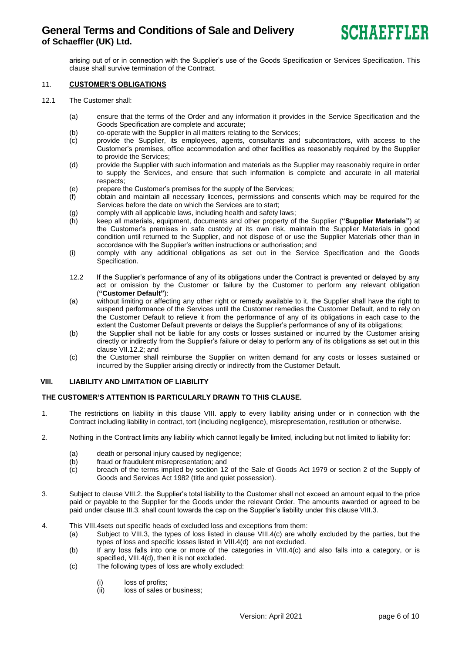arising out of or in connection with the Supplier's use of the Goods Specification or Services Specification. This clause shall survive termination of the Contract.

### 11. **CUSTOMER'S OBLIGATIONS**

- 12.1 The Customer shall:
	- (a) ensure that the terms of the Order and any information it provides in the Service Specification and the Goods Specification are complete and accurate;
	- (b) co-operate with the Supplier in all matters relating to the Services;
	- (c) provide the Supplier, its employees, agents, consultants and subcontractors, with access to the Customer's premises, office accommodation and other facilities as reasonably required by the Supplier to provide the Services;
	- (d) provide the Supplier with such information and materials as the Supplier may reasonably require in order to supply the Services, and ensure that such information is complete and accurate in all material respects;
	- (e) prepare the Customer's premises for the supply of the Services;
	- (f) obtain and maintain all necessary licences, permissions and consents which may be required for the Services before the date on which the Services are to start;
	- (g) comply with all applicable laws, including health and safety laws;
	- (h) keep all materials, equipment, documents and other property of the Supplier (**"Supplier Materials"**) at the Customer's premises in safe custody at its own risk, maintain the Supplier Materials in good condition until returned to the Supplier, and not dispose of or use the Supplier Materials other than in accordance with the Supplier's written instructions or authorisation; and
	- (i) comply with any additional obligations as set out in the Service Specification and the Goods Specification.
	- 12.2 If the Supplier's performance of any of its obligations under the Contract is prevented or delayed by any act or omission by the Customer or failure by the Customer to perform any relevant obligation (**"Customer Default"**):
	- (a) without limiting or affecting any other right or remedy available to it, the Supplier shall have the right to suspend performance of the Services until the Customer remedies the Customer Default, and to rely on the Customer Default to relieve it from the performance of any of its obligations in each case to the extent the Customer Default prevents or delays the Supplier's performance of any of its obligations;
	- (b) the Supplier shall not be liable for any costs or losses sustained or incurred by the Customer arising directly or indirectly from the Supplier's failure or delay to perform any of its obligations as set out in this clause VII.12.2; and
	- (c) the Customer shall reimburse the Supplier on written demand for any costs or losses sustained or incurred by the Supplier arising directly or indirectly from the Customer Default.

### **VIII. LIABILITY AND LIMITATION OF LIABILITY**

### **THE CUSTOMER'S ATTENTION IS PARTICULARLY DRAWN TO THIS CLAUSE.**

- 1. The restrictions on liability in this clause VIII. apply to every liability arising under or in connection with the Contract including liability in contract, tort (including negligence), misrepresentation, restitution or otherwise.
- 2. Nothing in the Contract limits any liability which cannot legally be limited, including but not limited to liability for:
	- (a) death or personal injury caused by negligence;<br>(b) fraud or fraudulent misrepresentation; and
	- fraud or fraudulent misrepresentation; and
	- (c) breach of the terms implied by section 12 of the Sale of Goods Act 1979 or section 2 of the Supply of Goods and Services Act 1982 (title and quiet possession).
- 3. Subject to clause VIII.2. the Supplier's total liability to the Customer shall not exceed an amount equal to the price paid or payable to the Supplier for the Goods under the relevant Order. The amounts awarded or agreed to be paid under clause III.3. shall count towards the cap on the Supplier's liability under this clause VIII.3.
- 4. This VIII.4sets out specific heads of excluded loss and exceptions from them:
	- (a) Subject to VIII.3, the types of loss listed in clause VIII.4(c) are wholly excluded by the parties, but the types of loss and specific losses listed in VIII.4(d) are not excluded.
	- (b) If any loss falls into one or more of the categories in VIII.4(c) and also falls into a category, or is specified, VIII.4(d), then it is not excluded.
	- (c) The following types of loss are wholly excluded:
		- (i) loss of profits;<br>(ii) loss of sales o
		- loss of sales or business;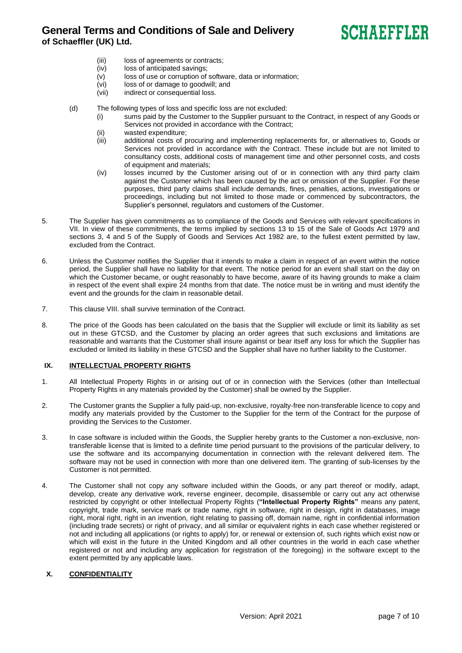# **SCHAEFFLER**

- (iii) loss of agreements or contracts;
- (iv) loss of anticipated savings;
- (v) loss of use or corruption of software, data or information;
- (vi) loss of or damage to goodwill; and
- (vii) indirect or consequential loss.
- (d) The following types of loss and specific loss are not excluded:
	- (i) sums paid by the Customer to the Supplier pursuant to the Contract, in respect of any Goods or Services not provided in accordance with the Contract;
	- (ii) wasted expenditure;
	- (iii) additional costs of procuring and implementing replacements for, or alternatives to, Goods or Services not provided in accordance with the Contract. These include but are not limited to consultancy costs, additional costs of management time and other personnel costs, and costs of equipment and materials;
	- (iv) losses incurred by the Customer arising out of or in connection with any third party claim against the Customer which has been caused by the act or omission of the Supplier. For these purposes, third party claims shall include demands, fines, penalties, actions, investigations or proceedings, including but not limited to those made or commenced by subcontractors, the Supplier's personnel, regulators and customers of the Customer.
- 5. The Supplier has given commitments as to compliance of the Goods and Services with relevant specifications in VII. In view of these commitments, the terms implied by sections 13 to 15 of the Sale of Goods Act 1979 and sections 3, 4 and 5 of the Supply of Goods and Services Act 1982 are, to the fullest extent permitted by law, excluded from the Contract.
- 6. Unless the Customer notifies the Supplier that it intends to make a claim in respect of an event within the notice period, the Supplier shall have no liability for that event. The notice period for an event shall start on the day on which the Customer became, or ought reasonably to have become, aware of its having grounds to make a claim in respect of the event shall expire 24 months from that date. The notice must be in writing and must identify the event and the grounds for the claim in reasonable detail.
- 7. This clause VIII. shall survive termination of the Contract.
- 8. The price of the Goods has been calculated on the basis that the Supplier will exclude or limit its liability as set out in these GTCSD, and the Customer by placing an order agrees that such exclusions and limitations are reasonable and warrants that the Customer shall insure against or bear itself any loss for which the Supplier has excluded or limited its liability in these GTCSD and the Supplier shall have no further liability to the Customer.

## **IX. INTELLECTUAL PROPERTY RIGHTS**

- 1. All Intellectual Property Rights in or arising out of or in connection with the Services (other than Intellectual Property Rights in any materials provided by the Customer) shall be owned by the Supplier.
- 2. The Customer grants the Supplier a fully paid-up, non-exclusive, royalty-free non-transferable licence to copy and modify any materials provided by the Customer to the Supplier for the term of the Contract for the purpose of providing the Services to the Customer.
- 3. In case software is included within the Goods, the Supplier hereby grants to the Customer a non-exclusive, nontransferable license that is limited to a definite time period pursuant to the provisions of the particular delivery, to use the software and its accompanying documentation in connection with the relevant delivered item. The software may not be used in connection with more than one delivered item. The granting of sub-licenses by the Customer is not permitted.
- 4. The Customer shall not copy any software included within the Goods, or any part thereof or modify, adapt, develop, create any derivative work, reverse engineer, decompile, disassemble or carry out any act otherwise restricted by copyright or other Intellectual Property Rights (**"Intellectual Property Rights"** means any patent, copyright, trade mark, service mark or trade name, right in software, right in design, right in databases, image right, moral right, right in an invention, right relating to passing off, domain name, right in confidential information (including trade secrets) or right of privacy, and all similar or equivalent rights in each case whether registered or not and including all applications (or rights to apply) for, or renewal or extension of, such rights which exist now or which will exist in the future in the United Kingdom and all other countries in the world in each case whether registered or not and including any application for registration of the foregoing) in the software except to the extent permitted by any applicable laws.

## **X. CONFIDENTIALITY**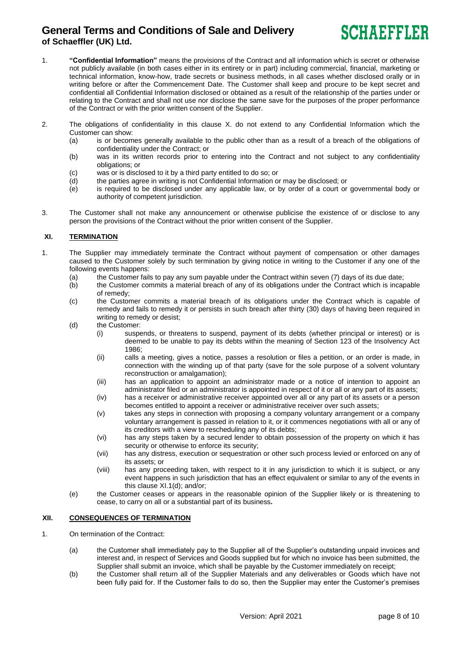

- 1. **"Confidential Information"** means the provisions of the Contract and all information which is secret or otherwise not publicly available (in both cases either in its entirety or in part) including commercial, financial, marketing or technical information, know-how, trade secrets or business methods, in all cases whether disclosed orally or in writing before or after the Commencement Date. The Customer shall keep and procure to be kept secret and confidential all Confidential Information disclosed or obtained as a result of the relationship of the parties under or relating to the Contract and shall not use nor disclose the same save for the purposes of the proper performance of the Contract or with the prior written consent of the Supplier.
- 2. The obligations of confidentiality in this clause X. do not extend to any Confidential Information which the Customer can show:
	- (a) is or becomes generally available to the public other than as a result of a breach of the obligations of confidentiality under the Contract; or
	- (b) was in its written records prior to entering into the Contract and not subject to any confidentiality obligations; or
	- (c) was or is disclosed to it by a third party entitled to do so; or
	- (d) the parties agree in writing is not Confidential Information or may be disclosed; or
	- (e) is required to be disclosed under any applicable law, or by order of a court or governmental body or authority of competent jurisdiction.
- 3. The Customer shall not make any announcement or otherwise publicise the existence of or disclose to any person the provisions of the Contract without the prior written consent of the Supplier.

## **XI. TERMINATION**

- 1. The Supplier may immediately terminate the Contract without payment of compensation or other damages caused to the Customer solely by such termination by giving notice in writing to the Customer if any one of the following events happens:
	- (a) the Customer fails to pay any sum payable under the Contract within seven (7) days of its due date;
	- (b) the Customer commits a material breach of any of its obligations under the Contract which is incapable of remedy;
	- (c) the Customer commits a material breach of its obligations under the Contract which is capable of remedy and fails to remedy it or persists in such breach after thirty (30) days of having been required in writing to remedy or desist;
	- (d) the Customer:
		- (i) suspends, or threatens to suspend, payment of its debts (whether principal or interest) or is deemed to be unable to pay its debts within the meaning of Section 123 of the Insolvency Act 1986;
		- (ii) calls a meeting, gives a notice, passes a resolution or files a petition, or an order is made, in connection with the winding up of that party (save for the sole purpose of a solvent voluntary reconstruction or amalgamation);
		- (iii) has an application to appoint an administrator made or a notice of intention to appoint an administrator filed or an administrator is appointed in respect of it or all or any part of its assets;
		- (iv) has a receiver or administrative receiver appointed over all or any part of its assets or a person becomes entitled to appoint a receiver or administrative receiver over such assets;
		- (v) takes any steps in connection with proposing a company voluntary arrangement or a company voluntary arrangement is passed in relation to it, or it commences negotiations with all or any of its creditors with a view to rescheduling any of its debts;
		- (vi) has any steps taken by a secured lender to obtain possession of the property on which it has security or otherwise to enforce its security;
		- (vii) has any distress, execution or sequestration or other such process levied or enforced on any of its assets; or
		- (viii) has any proceeding taken, with respect to it in any jurisdiction to which it is subject, or any event happens in such jurisdiction that has an effect equivalent or similar to any of the events in this clause XI.1(d); and/or;
	- (e) the Customer ceases or appears in the reasonable opinion of the Supplier likely or is threatening to cease, to carry on all or a substantial part of its business*.*

## **XII. CONSEQUENCES OF TERMINATION**

- 1. On termination of the Contract:
	- (a) the Customer shall immediately pay to the Supplier all of the Supplier's outstanding unpaid invoices and interest and, in respect of Services and Goods supplied but for which no invoice has been submitted, the Supplier shall submit an invoice, which shall be payable by the Customer immediately on receipt;
	- (b) the Customer shall return all of the Supplier Materials and any deliverables or Goods which have not been fully paid for. If the Customer fails to do so, then the Supplier may enter the Customer's premises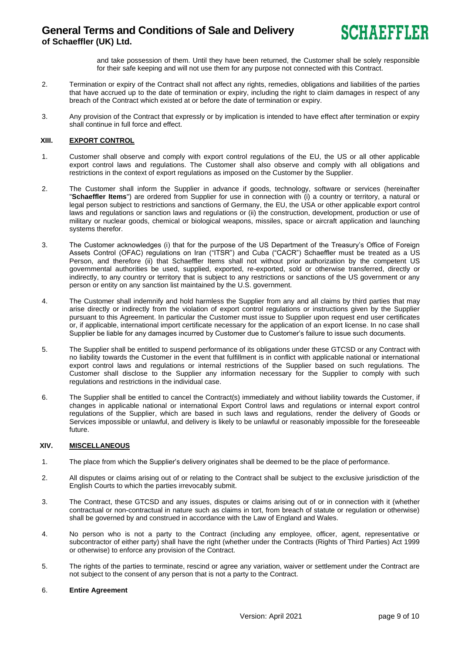

and take possession of them. Until they have been returned, the Customer shall be solely responsible for their safe keeping and will not use them for any purpose not connected with this Contract.

- 2. Termination or expiry of the Contract shall not affect any rights, remedies, obligations and liabilities of the parties that have accrued up to the date of termination or expiry, including the right to claim damages in respect of any breach of the Contract which existed at or before the date of termination or expiry.
- 3. Any provision of the Contract that expressly or by implication is intended to have effect after termination or expiry shall continue in full force and effect.

### **XIII. EXPORT CONTROL**

- 1. Customer shall observe and comply with export control regulations of the EU, the US or all other applicable export control laws and regulations. The Customer shall also observe and comply with all obligations and restrictions in the context of export regulations as imposed on the Customer by the Supplier.
- 2. The Customer shall inform the Supplier in advance if goods, technology, software or services (hereinafter "**Schaeffler Items**") are ordered from Supplier for use in connection with (i) a country or territory, a natural or legal person subject to restrictions and sanctions of Germany, the EU, the USA or other applicable export control laws and regulations or sanction laws and regulations or (ii) the construction, development, production or use of military or nuclear goods, chemical or biological weapons, missiles, space or aircraft application and launching systems therefor.
- 3. The Customer acknowledges (i) that for the purpose of the US Department of the Treasury's Office of Foreign Assets Control (OFAC) regulations on Iran ("ITSR") and Cuba ("CACR") Schaeffler must be treated as a US Person, and therefore (ii) that Schaeffler Items shall not without prior authorization by the competent US governmental authorities be used, supplied, exported, re-exported, sold or otherwise transferred, directly or indirectly, to any country or territory that is subject to any restrictions or sanctions of the US government or any person or entity on any sanction list maintained by the U.S. government.
- 4. The Customer shall indemnify and hold harmless the Supplier from any and all claims by third parties that may arise directly or indirectly from the violation of export control regulations or instructions given by the Supplier pursuant to this Agreement. In particular the Customer must issue to Supplier upon request end user certificates or, if applicable, international import certificate necessary for the application of an export license. In no case shall Supplier be liable for any damages incurred by Customer due to Customer's failure to issue such documents.
- 5. The Supplier shall be entitled to suspend performance of its obligations under these GTCSD or any Contract with no liability towards the Customer in the event that fulfillment is in conflict with applicable national or international export control laws and regulations or internal restrictions of the Supplier based on such regulations. The Customer shall disclose to the Supplier any information necessary for the Supplier to comply with such regulations and restrictions in the individual case.
- 6. The Supplier shall be entitled to cancel the Contract(s) immediately and without liability towards the Customer, if changes in applicable national or international Export Control laws and regulations or internal export control regulations of the Supplier, which are based in such laws and regulations, render the delivery of Goods or Services impossible or unlawful, and delivery is likely to be unlawful or reasonably impossible for the foreseeable future.

### **XIV. MISCELLANEOUS**

- 1. The place from which the Supplier's delivery originates shall be deemed to be the place of performance.
- 2. All disputes or claims arising out of or relating to the Contract shall be subject to the exclusive jurisdiction of the English Courts to which the parties irrevocably submit.
- 3. The Contract, these GTCSD and any issues, disputes or claims arising out of or in connection with it (whether contractual or non-contractual in nature such as claims in tort, from breach of statute or regulation or otherwise) shall be governed by and construed in accordance with the Law of England and Wales.
- 4. No person who is not a party to the Contract (including any employee, officer, agent, representative or subcontractor of either party) shall have the right (whether under the Contracts (Rights of Third Parties) Act 1999 or otherwise) to enforce any provision of the Contract.
- 5. The rights of the parties to terminate, rescind or agree any variation, waiver or settlement under the Contract are not subject to the consent of any person that is not a party to the Contract.

### 6. **Entire Agreement**